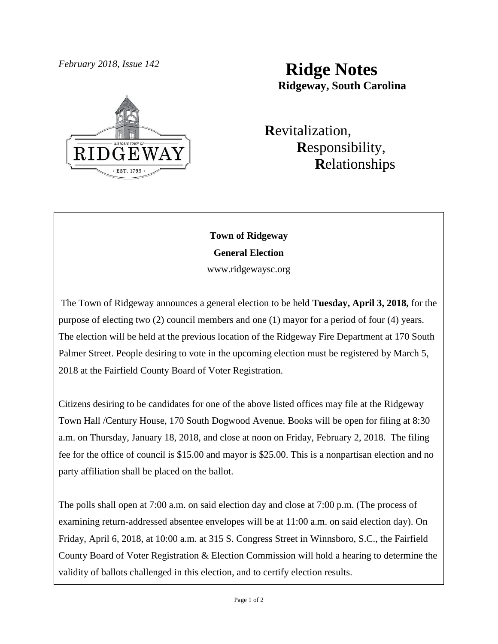

# *February 2018, Issue 142* **Ridge Notes Ridgeway, South Carolina**

 **R**evitalization,  **R**esponsibility,  **R**elationships

# **Town of Ridgeway General Election**

www.ridgewaysc.org

The Town of Ridgeway announces a general election to be held **Tuesday, April 3, 2018,** for the purpose of electing two (2) council members and one (1) mayor for a period of four (4) years. The election will be held at the previous location of the Ridgeway Fire Department at 170 South Palmer Street. People desiring to vote in the upcoming election must be registered by March 5, 2018 at the Fairfield County Board of Voter Registration.

Citizens desiring to be candidates for one of the above listed offices may file at the Ridgeway Town Hall /Century House, 170 South Dogwood Avenue. Books will be open for filing at 8:30 a.m. on Thursday, January 18, 2018, and close at noon on Friday, February 2, 2018. The filing fee for the office of council is \$15.00 and mayor is \$25.00. This is a nonpartisan election and no party affiliation shall be placed on the ballot.

The polls shall open at 7:00 a.m. on said election day and close at 7:00 p.m. (The process of examining return-addressed absentee envelopes will be at 11:00 a.m. on said election day). On Friday, April 6, 2018, at 10:00 a.m. at 315 S. Congress Street in Winnsboro, S.C., the Fairfield County Board of Voter Registration & Election Commission will hold a hearing to determine the validity of ballots challenged in this election, and to certify election results.